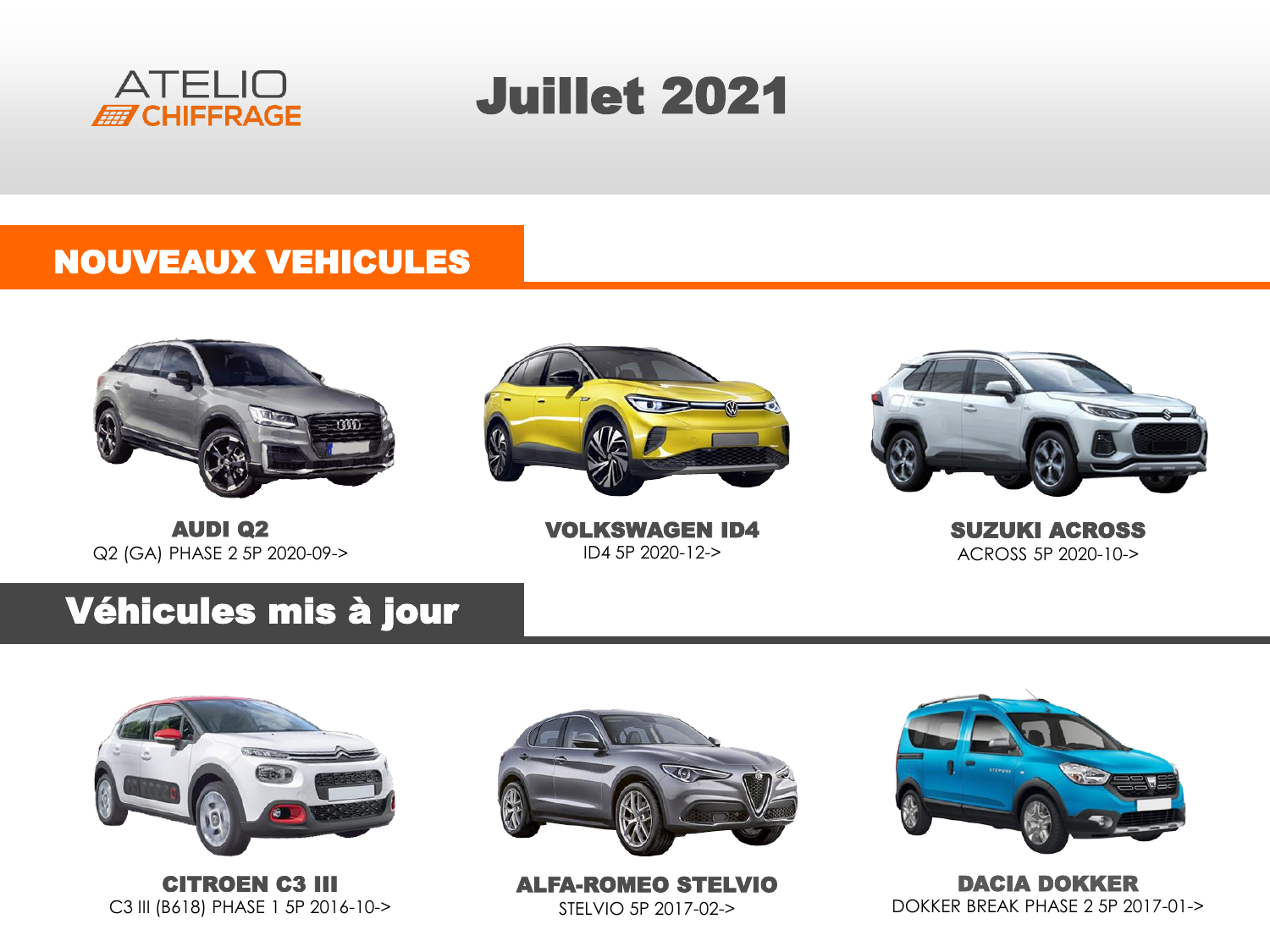

# Juillet 2021

#### NOUVEAUX VEHICULES





AUDI Q2 Q2 (GA) PHASE 2 5P 2020-09->

VOLKSWAGEN ID4 ID4 5P 2020-12->

SUZUKI ACROSS ACROSS 5P 2020-10->

### Véhicules mis à jour



CITROEN C3 III C3 III (B618) PHASE 1 5P 2016-10->



ALFA-ROMEO STELVIO STELVIO 5P 2017-02->



DACIA DOKKER DOKKER BREAK PHASE 2 5P 2017-01->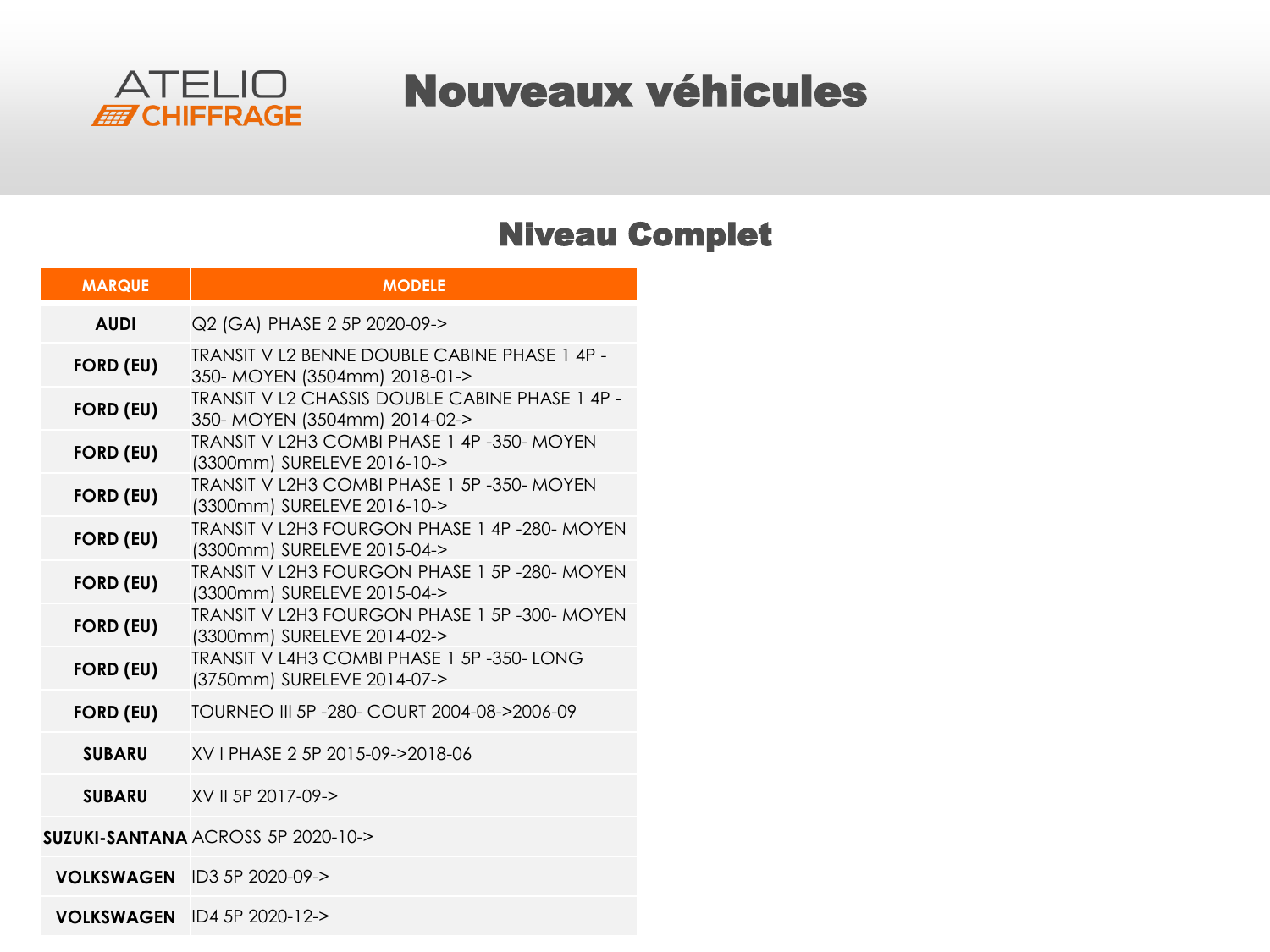

### Nouveaux véhicules

#### Niveau Complet

| <b>MARQUE</b>     | <b>MODELE</b>                                                                    |  |  |  |
|-------------------|----------------------------------------------------------------------------------|--|--|--|
| <b>AUDI</b>       | Q2 (GA) PHASE 2 5P 2020-09->                                                     |  |  |  |
| <b>FORD (EU)</b>  | TRANSIT V L2 BENNE DOUBLE CABINE PHASE 1 4P -<br>350- MOYEN (3504mm) 2018-01->   |  |  |  |
| <b>FORD (EU)</b>  | TRANSIT V L2 CHASSIS DOUBLE CABINE PHASE 1 4P -<br>350- MOYEN (3504mm) 2014-02-> |  |  |  |
| <b>FORD (EU)</b>  | TRANSIT V L2H3 COMBI PHASE 1 4P -350- MOYEN<br>(3300mm) SURELEVE 2016-10->       |  |  |  |
| <b>FORD (EU)</b>  | TRANSIT V L2H3 COMBI PHASE 1 5P -350- MOYEN<br>(3300mm) SURELEVE 2016-10->       |  |  |  |
| <b>FORD (EU)</b>  | TRANSIT V L2H3 FOURGON PHASE 1 4P -280- MOYEN<br>(3300mm) SURELEVE 2015-04->     |  |  |  |
| <b>FORD (EU)</b>  | TRANSIT V L2H3 FOURGON PHASE 1 5P -280- MOYEN<br>(3300mm) SURELEVE 2015-04->     |  |  |  |
| <b>FORD (EU)</b>  | TRANSIT V L2H3 FOURGON PHASE 1 5P -300- MOYEN<br>(3300mm) SURELEVE 2014-02->     |  |  |  |
| <b>FORD (EU)</b>  | TRANSIT V L4H3 COMBI PHASE 1 5P -350- LONG<br>(3750mm) SURELEVE 2014-07->        |  |  |  |
| <b>FORD (EU)</b>  | TOURNEO III 5P - 280 - COURT 2004-08->2006-09                                    |  |  |  |
| <b>SUBARU</b>     | XV I PHASE 2 5P 2015-09->2018-06                                                 |  |  |  |
| <b>SUBARU</b>     | XV II 5P 2017-09->                                                               |  |  |  |
|                   | <b>SUZUKI-SANTANA ACROSS 5P 2020-10-&gt;</b>                                     |  |  |  |
|                   | <b>VOLKSWAGEN</b> ID3 5P 2020-09->                                               |  |  |  |
| <b>VOLKSWAGEN</b> | ID4 5P 2020-12->                                                                 |  |  |  |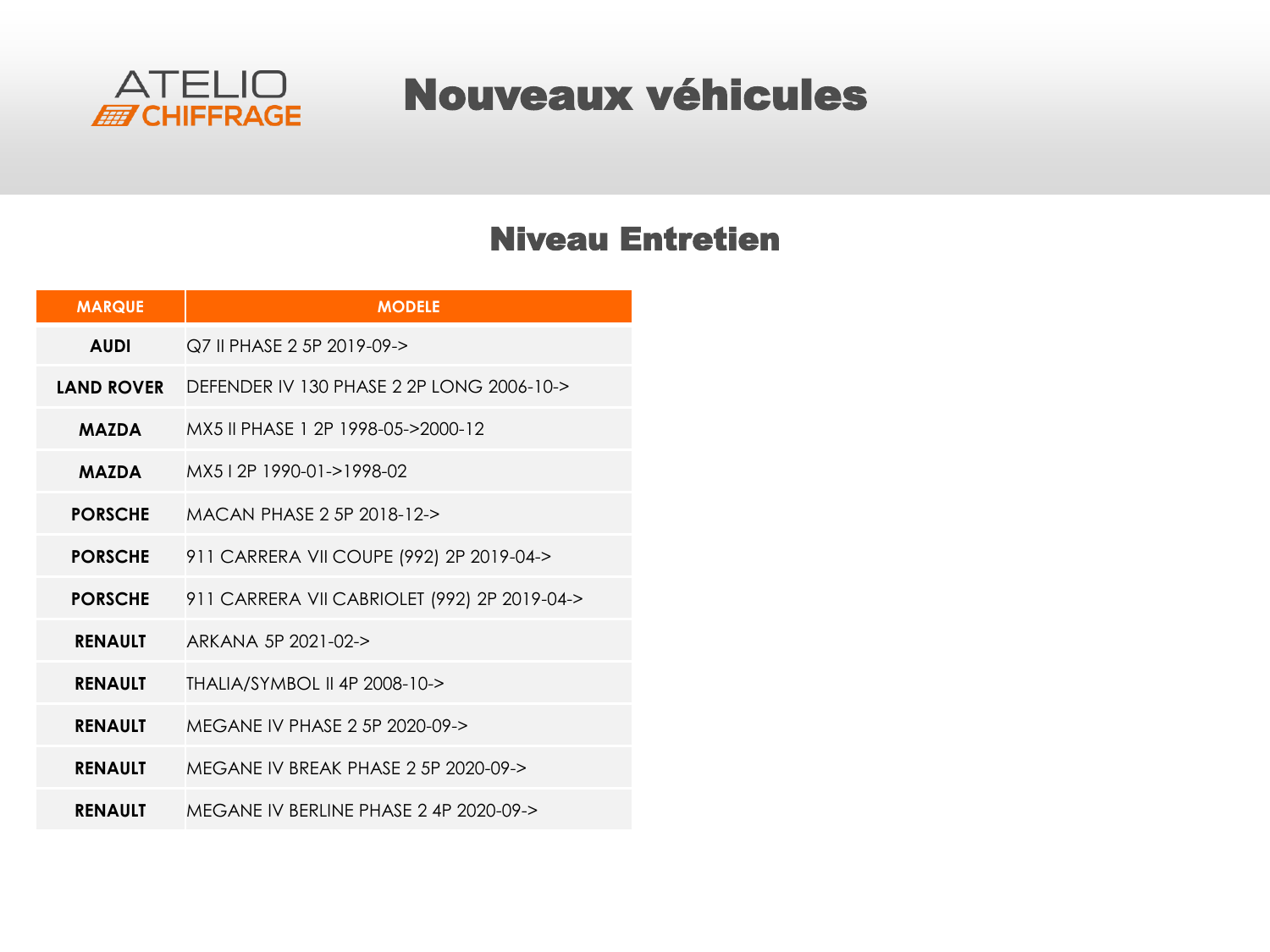

### Nouveaux véhicules

#### Niveau Entretien

| <b>MARQUE</b>     | <b>MODELE</b>                                |
|-------------------|----------------------------------------------|
| <b>AUDI</b>       | Q7 II PHASE 2 5P 2019-09->                   |
| <b>LAND ROVER</b> | DEFENDER IV 130 PHASE 2 2P LONG 2006-10->    |
| <b>MAZDA</b>      | MX5 II PHASE 1 2P 1998-05->2000-12           |
| <b>MAZDA</b>      | MX512P 1990-01->1998-02                      |
| <b>PORSCHE</b>    | MACAN PHASE 2 5P 2018-12->                   |
| <b>PORSCHE</b>    | 911 CARRERA VII COUPE (992) 2P 2019-04->     |
| <b>PORSCHE</b>    | 911 CARRERA VII CABRIOLET (992) 2P 2019-04-> |
| <b>RENAULT</b>    | ARKANA 5P 2021-02->                          |
| <b>RENAULT</b>    | THALIA/SYMBOL II 4P 2008-10->                |
| <b>RENAULT</b>    | MEGANE IV PHASE 2 5P 2020-09->               |
| <b>RENAULT</b>    | MEGANE IV BREAK PHASE 2 5P 2020-09->         |
| <b>RENAULT</b>    | MFGANE IV BERLINE PHASE 2 4P 2020-09->       |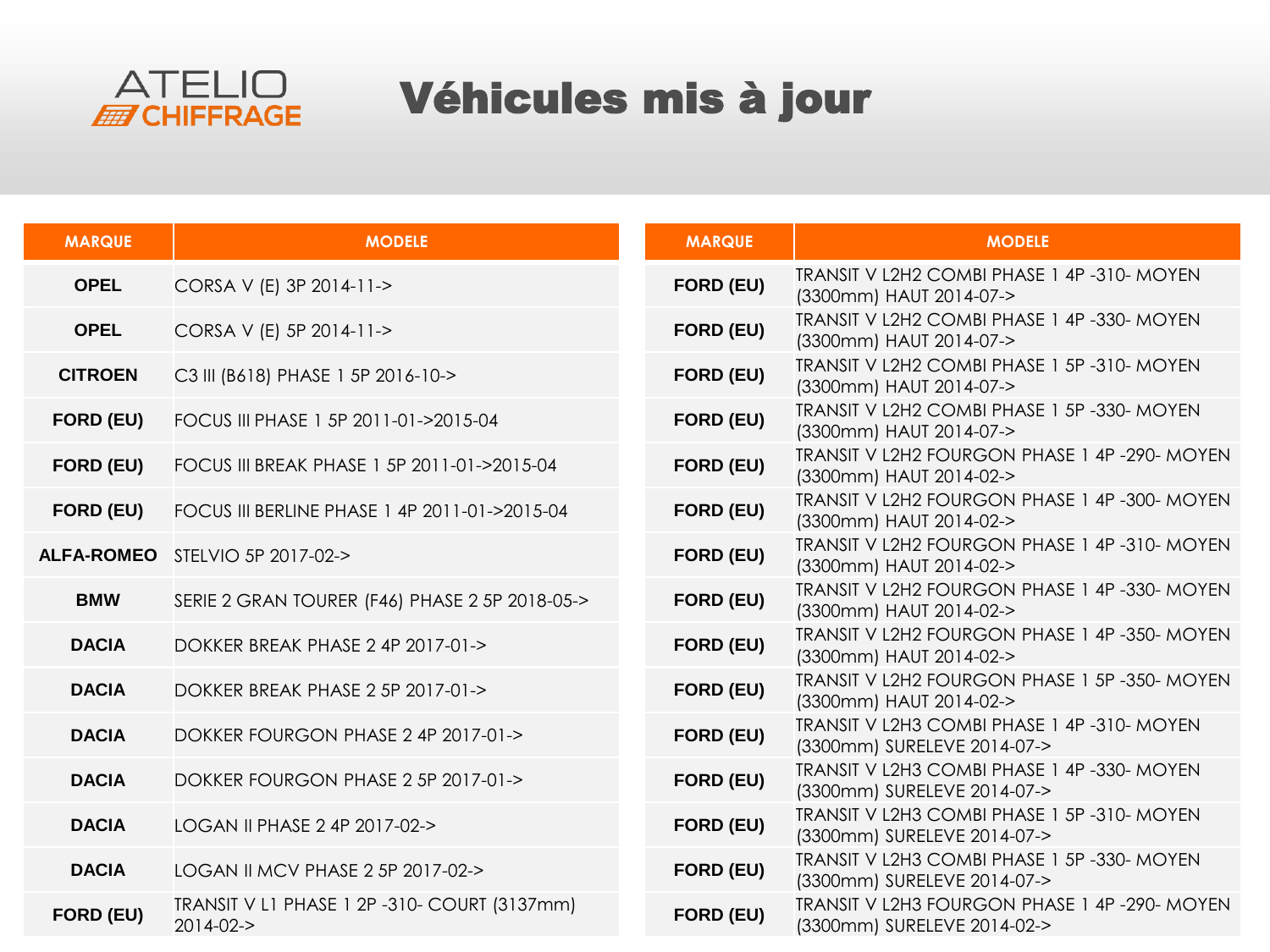

## Véhicules mis à jour

| <b>MARQUE</b>     | <b>MODELE</b>                                                   | <b>MARQUE</b>    | <b>MODELE</b>                                                               |
|-------------------|-----------------------------------------------------------------|------------------|-----------------------------------------------------------------------------|
| <b>OPEL</b>       | CORSA V (E) 3P 2014-11->                                        | FORD (EU)        | TRANSIT V L2H2 COMBI PHASE 1 4P -310- MOYEN<br>(3300mm) HAUT 2014-07->      |
| <b>OPEL</b>       | CORSA V (E) 5P 2014-11->                                        | FORD (EU)        | TRANSIT V L2H2 COMBI PHASE 1 4P -330- MOYEN<br>(3300mm) HAUT 2014-07->      |
| <b>CITROEN</b>    | C3 III (B618) PHASE 1 5P 2016-10->                              | <b>FORD (EU)</b> | TRANSIT V L2H2 COMBI PHASE 1 5P-310- MOYEN<br>(3300mm) HAUT 2014-07->       |
| FORD (EU)         | FOCUS III PHASE 1 5P 2011-01->2015-04                           | FORD (EU)        | TRANSIT V L2H2 COMBI PHASE 1 5P -330- MOYEN<br>(3300mm) HAUT 2014-07->      |
| FORD (EU)         | FOCUS III BREAK PHASE 1 5P 2011-01->2015-04                     | FORD (EU)        | TRANSIT V L2H2 FOURGON PHASE 1 4P-290- MOYEN<br>(3300mm) HAUT 2014-02->     |
| FORD (EU)         | FOCUS III BERLINE PHASE 1 4P 2011-01->2015-04                   | FORD (EU)        | TRANSIT V L2H2 FOURGON PHASE 1 4P -300- MOYEN<br>(3300mm) HAUT 2014-02->    |
| <b>ALFA-ROMEO</b> | STELVIO 5P 2017-02->                                            | FORD (EU)        | TRANSIT V L2H2 FOURGON PHASE 1 4P-310- MOYEN<br>(3300mm) HAUT 2014-02->     |
| <b>BMW</b>        | SERIE 2 GRAN TOURER (F46) PHASE 2 5P 2018-05->                  | FORD (EU)        | TRANSIT V L2H2 FOURGON PHASE 1 4P -330- MOYEN<br>(3300mm) HAUT 2014-02->    |
| <b>DACIA</b>      | DOKKER BREAK PHASE 2 4P 2017-01->                               | FORD (EU)        | TRANSIT V L2H2 FOURGON PHASE 1 4P-350- MOYEN<br>(3300mm) HAUT 2014-02->     |
| <b>DACIA</b>      | DOKKER BREAK PHASE 2 5P 2017-01->                               | FORD (EU)        | TRANSIT V L2H2 FOURGON PHASE 1 5P -350- MOYEN<br>(3300mm) HAUT 2014-02->    |
| <b>DACIA</b>      | DOKKER FOURGON PHASE 2 4P 2017-01->                             | FORD (EU)        | TRANSIT V L2H3 COMBI PHASE 1 4P -310- MOYEN<br>(3300mm) SURELEVE 2014-07->  |
| <b>DACIA</b>      | DOKKER FOURGON PHASE 2 5P 2017-01->                             | FORD (EU)        | TRANSIT V L2H3 COMBI PHASE 1 4P -330- MOYEN<br>(3300mm) SURELEVE 2014-07->  |
| <b>DACIA</b>      | LOGAN II PHASE 2 4P 2017-02->                                   | FORD (EU)        | TRANSIT V L2H3 COMBI PHASE 1 5P-310- MOYEN<br>(3300mm) SURELEVE 2014-07->   |
| <b>DACIA</b>      | LOGAN II MCV PHASE 2 5P 2017-02->                               | FORD (EU)        | TRANSIT V L2H3 COMBI PHASE 1 5P -330- MOYEN<br>(3300mm) SURELEVE 2014-07->  |
| FORD (EU)         | TRANSIT V L1 PHASE 1 2P -310- COURT (3137mm)<br>$2014 - 02 - 5$ | FORD (EU)        | TRANSIT V L2H3 FOURGON PHASE 1 4P-290- MOYEN<br>(3300mm) SURELEVE 2014-02-> |
|                   |                                                                 |                  |                                                                             |